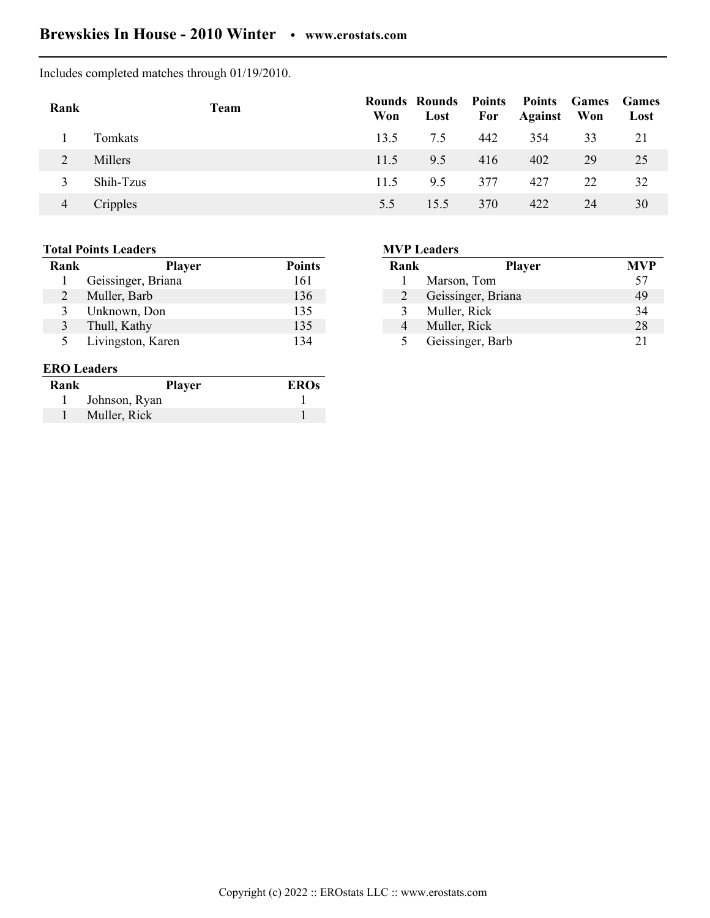## **Brewskies In House - 2010 Winter • www.erostats.com**

Includes completed matches through 01/19/2010.

| Rank | Team      | Won  | Rounds Rounds Points Points Games Games<br>Lost | For | <b>Against</b> Won |    | Lost |
|------|-----------|------|-------------------------------------------------|-----|--------------------|----|------|
|      | Tomkats   | 13.5 | 7.5                                             | 442 | 354                | 33 | 21   |
| 2    | Millers   | 11.5 | 9.5                                             | 416 | 402                | 29 | 25   |
| 3    | Shih-Tzus | 11.5 | 95                                              | 377 | 427                | 22 | 32   |
| 4    | Cripples  | 5.5  | 15.5                                            | 370 | 422                | 24 | 30   |

## **Total Points Leaders**

| Rank | <b>Player</b>      | <b>Points</b> |
|------|--------------------|---------------|
|      | Geissinger, Briana | 161           |
| 2    | Muller, Barb       | 136           |
| 3    | Unknown, Don       | 135           |
| 3    | Thull, Kathy       | 135           |
| 5    | Livingston, Karen  | 134           |

## **ERO Leaders**

| Rank | <b>Player</b> | <b>EROs</b> |
|------|---------------|-------------|
|      | Johnson, Ryan |             |
|      | Muller, Rick  |             |

## **MVP Leaders**

| Rank | <b>Player</b>      | <b>MVP</b> |
|------|--------------------|------------|
|      | Marson, Tom        | 57         |
| 2    | Geissinger, Briana | 49         |
| 3    | Muller, Rick       | 34         |
| 4    | Muller, Rick       | 28         |
| 5    | Geissinger, Barb   | 21         |